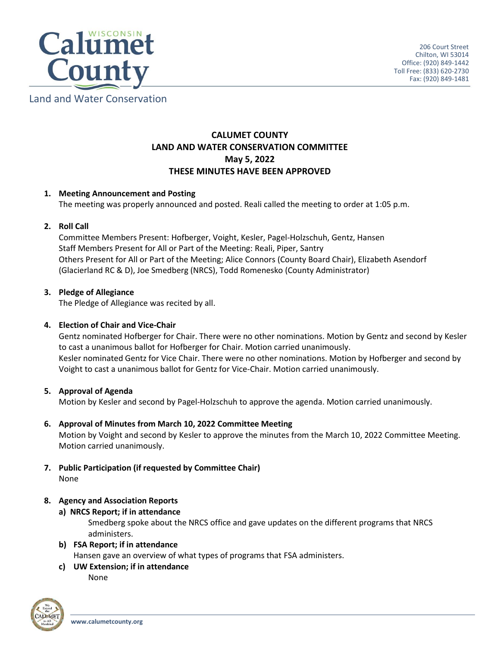

# Land and Water Conservation

# **CALUMET COUNTY LAND AND WATER CONSERVATION COMMITTEE May 5, 2022 THESE MINUTES HAVE BEEN APPROVED**

# **1. Meeting Announcement and Posting**

The meeting was properly announced and posted. Reali called the meeting to order at 1:05 p.m.

# **2. Roll Call**

Committee Members Present: Hofberger, Voight, Kesler, Pagel-Holzschuh, Gentz, Hansen Staff Members Present for All or Part of the Meeting: Reali, Piper, Santry Others Present for All or Part of the Meeting; Alice Connors (County Board Chair), Elizabeth Asendorf (Glacierland RC & D), Joe Smedberg (NRCS), Todd Romenesko (County Administrator)

# **3. Pledge of Allegiance**

The Pledge of Allegiance was recited by all.

# **4. Election of Chair and Vice-Chair**

Gentz nominated Hofberger for Chair. There were no other nominations. Motion by Gentz and second by Kesler to cast a unanimous ballot for Hofberger for Chair. Motion carried unanimously. Kesler nominated Gentz for Vice Chair. There were no other nominations. Motion by Hofberger and second by Voight to cast a unanimous ballot for Gentz for Vice-Chair. Motion carried unanimously.

## **5. Approval of Agenda**

Motion by Kesler and second by Pagel-Holzschuh to approve the agenda. Motion carried unanimously.

## **6. Approval of Minutes from March 10, 2022 Committee Meeting**

Motion by Voight and second by Kesler to approve the minutes from the March 10, 2022 Committee Meeting. Motion carried unanimously.

**7. Public Participation (if requested by Committee Chair)** None

# **8. Agency and Association Reports**

**a) NRCS Report; if in attendance**

Smedberg spoke about the NRCS office and gave updates on the different programs that NRCS administers.

- **b) FSA Report; if in attendance** Hansen gave an overview of what types of programs that FSA administers.
- **c) UW Extension; if in attendance** None

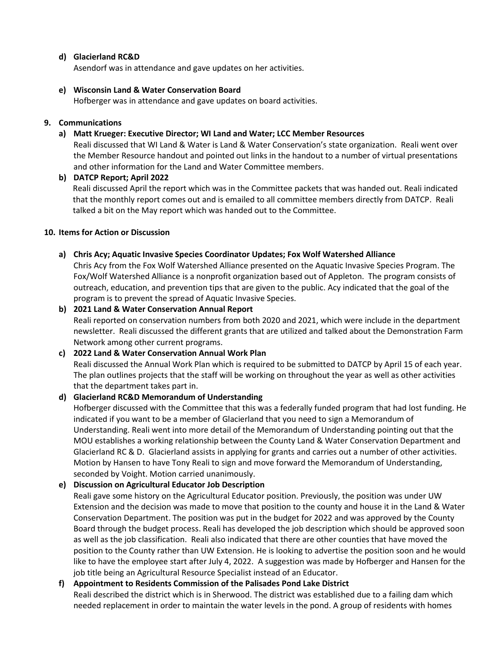# **d) Glacierland RC&D**

Asendorf was in attendance and gave updates on her activities.

## **e) Wisconsin Land & Water Conservation Board**

Hofberger was in attendance and gave updates on board activities.

## **9. Communications**

#### **a) Matt Krueger: Executive Director; WI Land and Water; LCC Member Resources**

Reali discussed that WI Land & Water is Land & Water Conservation's state organization. Reali went over the Member Resource handout and pointed out links in the handout to a number of virtual presentations and other information for the Land and Water Committee members.

## **b) DATCP Report; April 2022**

Reali discussed April the report which was in the Committee packets that was handed out. Reali indicated that the monthly report comes out and is emailed to all committee members directly from DATCP. Reali talked a bit on the May report which was handed out to the Committee.

#### **10. Items for Action or Discussion**

#### **a) Chris Acy; Aquatic Invasive Species Coordinator Updates; Fox Wolf Watershed Alliance**

Chris Acy from the Fox Wolf Watershed Alliance presented on the Aquatic Invasive Species Program. The Fox/Wolf Watershed Alliance is a nonprofit organization based out of Appleton. The program consists of outreach, education, and prevention tips that are given to the public. Acy indicated that the goal of the program is to prevent the spread of Aquatic Invasive Species.

#### **b) 2021 Land & Water Conservation Annual Report**

Reali reported on conservation numbers from both 2020 and 2021, which were include in the department newsletter. Reali discussed the different grants that are utilized and talked about the Demonstration Farm Network among other current programs.

## **c) 2022 Land & Water Conservation Annual Work Plan**

Reali discussed the Annual Work Plan which is required to be submitted to DATCP by April 15 of each year. The plan outlines projects that the staff will be working on throughout the year as well as other activities that the department takes part in.

## **d) Glacierland RC&D Memorandum of Understanding**

Hofberger discussed with the Committee that this was a federally funded program that had lost funding. He indicated if you want to be a member of Glacierland that you need to sign a Memorandum of Understanding. Reali went into more detail of the Memorandum of Understanding pointing out that the MOU establishes a working relationship between the County Land & Water Conservation Department and Glacierland RC & D. Glacierland assists in applying for grants and carries out a number of other activities. Motion by Hansen to have Tony Reali to sign and move forward the Memorandum of Understanding, seconded by Voight. Motion carried unanimously.

## **e) Discussion on Agricultural Educator Job Description**

Reali gave some history on the Agricultural Educator position. Previously, the position was under UW Extension and the decision was made to move that position to the county and house it in the Land & Water Conservation Department. The position was put in the budget for 2022 and was approved by the County Board through the budget process. Reali has developed the job description which should be approved soon as well as the job classification. Reali also indicated that there are other counties that have moved the position to the County rather than UW Extension. He is looking to advertise the position soon and he would like to have the employee start after July 4, 2022. A suggestion was made by Hofberger and Hansen for the job title being an Agricultural Resource Specialist instead of an Educator.

# **f) Appointment to Residents Commission of the Palisades Pond Lake District**

Reali described the district which is in Sherwood. The district was established due to a failing dam which needed replacement in order to maintain the water levels in the pond. A group of residents with homes